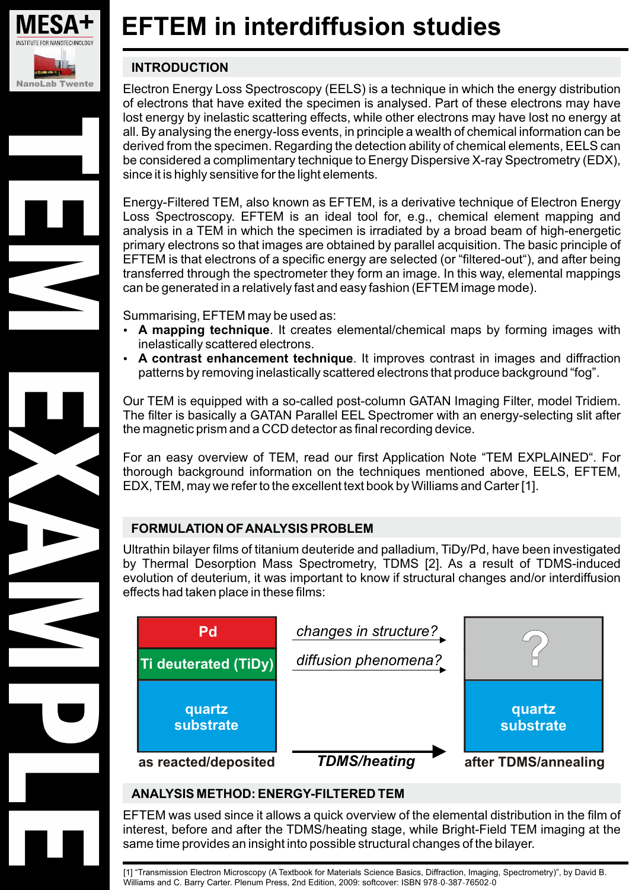

TEM EXAMPLES

# **EFTEM in interdiffusion studies**

## **INTRODUCTION**

Electron Energy Loss Spectroscopy (EELS) is a technique in which the energy distribution of electrons that have exited the specimen is analysed. Part of these electrons may have lost energy by inelastic scattering effects, while other electrons may have lost no energy at all. By analysing the energy-loss events, in principle a wealth of chemical information can be derived from the specimen. Regarding the detection ability of chemical elements, EELS can be considered a complimentary technique to Energy Dispersive X-ray Spectrometry (EDX), since it is highly sensitive for the light elements.

Energy-Filtered TEM, also known as EFTEM, is a derivative technique of Electron Energy Loss Spectroscopy. EFTEM is an ideal tool for, e.g., chemical element mapping and analysis in a TEM in which the specimen is irradiated by a broad beam of high-energetic primary electrons so that images are obtained by parallel acquisition. The basic principle of EFTEM is that electrons of a specific energy are selected (or "filtered-out"), and after being transferred through the spectrometer they form an image. In this way, elemental mappings can be generated in a relatively fast and easy fashion (EFTEM image mode).

Summarising, EFTEM may be used as: -

- **A mapping technique**. It creates elemental/chemical maps by forming images with inelastically scattered electrons.
- **A contrast enhancement technique**. It improves contrast in images and diffraction patterns by removing inelastically scattered electrons that produce background "fog".

Our TEM is equipped with a so-called post-column GATAN Imaging Filter, model Tridiem. The filter is basically a GATAN Parallel EEL Spectromer with an energy-selecting slit after the magnetic prism and a CCD detector as final recording device.

For an easy overview of TEM, read our first Application Note "TEM EXPLAINED". For thorough background information on the techniques mentioned above, EELS, EFTEM, EDX, TEM, may we refer to the excellent text book by Williams and Carter [1].

## **FORMULATION OFANALYSIS PROBLEM**

Ultrathin bilayer films of titanium deuteride and palladium, TiDy/Pd, have been investigated by Thermal Desorption Mass Spectrometry, TDMS [2]. As a result of TDMS-induced evolution of deuterium, it was important to know if structural changes and/or interdiffusion effects had taken place in these films:



## **ANALYSIS METHOD: ENERGY-FILTERED TEM**

EFTEM was used since it allows a quick overview of the elemental distribution in the film of interest, before and after the TDMS/heating stage, while Bright-Field TEM imaging at the same time provides an insight into possible structural changes of the bilayer.

[1] "Transmission Electron Microscopy (A Textbook for Materials Science Basics, Diffraction, Imaging, Spectrometry)", by David B. Microsoft and C. Barry Carter. Plenum Press, 2nd Edition, 2009: softcover: ISBN 978-0-387-76502-0<br>Williams and C. Barry Carter. Plenum Press, 2nd Edition, 2009: softcover: ISBN 978-0-387-76502-0